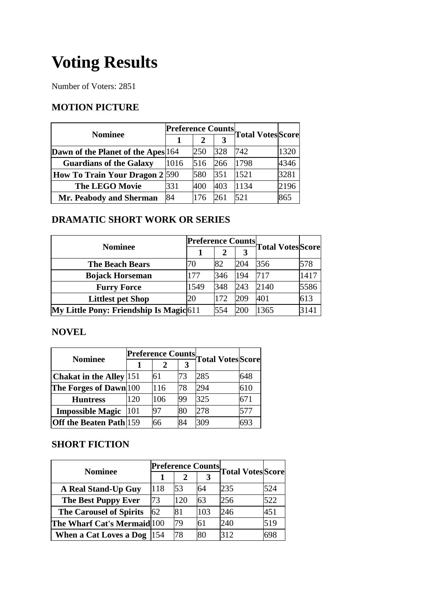# **Voting Results**

Number of Voters: 2851

### **MOTION PICTURE**

| <b>Nominee</b>                     |      |     |     | <b>Preference Counts Total Votes Score</b> |      |
|------------------------------------|------|-----|-----|--------------------------------------------|------|
|                                    |      |     | 3   |                                            |      |
| Dawn of the Planet of the Apes 164 |      | 250 | 328 | 742                                        | 1320 |
| <b>Guardians of the Galaxy</b>     | 1016 | 516 | 266 | 1798                                       | 4346 |
| How To Train Your Dragon 2 590     |      | 580 | 351 | 1521                                       | 3281 |
| <b>The LEGO Movie</b>              | 331  | 400 | 403 | 1134                                       | 2196 |
| Mr. Peabody and Sherman            | 84   | 176 | 261 | 521                                        | 865  |

## **DRAMATIC SHORT WORK OR SERIES**

| <b>Nominee</b>                          | <b>Preference Counts</b> |     |     | <b>Total Votes</b> Score |      |
|-----------------------------------------|--------------------------|-----|-----|--------------------------|------|
|                                         |                          |     | 3   |                          |      |
| <b>The Beach Bears</b>                  | 70                       | 82  | 204 | 356                      | 578  |
| <b>Bojack Horseman</b>                  | 177                      | 346 | 194 | 717                      | 1417 |
| <b>Furry Force</b>                      | 1549                     | 348 | 243 | 2140                     | 5586 |
| <b>Littlest pet Shop</b>                | 20                       | 172 | 209 | 401                      | 613  |
| My Little Pony: Friendship Is Magic 611 |                          | 554 | 200 | 1365                     | 3141 |

#### **NOVEL**

|                                           |     | <b>Preference Counts</b> |    |     | Total Votes Score |
|-------------------------------------------|-----|--------------------------|----|-----|-------------------|
| <b>Nominee</b>                            |     |                          | 3  |     |                   |
| <b>Chakat in the Alley</b> 151            |     | 61                       | 73 | 285 | 648               |
| The Forges of Dawn 100                    |     | 116                      | 78 | 294 | 610               |
| <b>Huntress</b>                           | 120 | 106                      | 99 | 325 | 671               |
| <b>Impossible Magic</b>                   | 101 | 97                       | 80 | 278 | 577               |
| <b>Off the Beaten Path</b> <sup>159</sup> |     | 66                       | 84 | 309 | 693               |

#### **SHORT FICTION**

| <b>Nominee</b>                 |     |     |     |     | Preference Counts Total Votes Score |
|--------------------------------|-----|-----|-----|-----|-------------------------------------|
|                                |     |     |     |     |                                     |
| A Real Stand-Up Guy            | 118 | 53  | 64  | 235 | 524                                 |
| <b>The Best Puppy Ever</b>     | 73  | 120 | 63  | 256 | 522                                 |
| <b>The Carousel of Spirits</b> | 62  | 81  | 103 | 246 | 451                                 |
| The Wharf Cat's Mermaid 100    |     | 79  | 61  | 240 | 519                                 |
| When a Cat Loves a Dog $ 154 $ |     | 78  | 80  | 312 | 698                                 |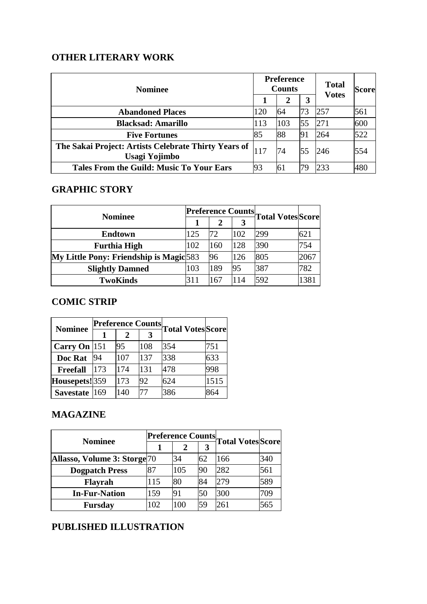## **OTHER LITERARY WORK**

| <b>Nominee</b>                                                        |     | <b>Preference</b><br><b>Counts</b> |     | <b>Total</b><br><b>Votes</b> | <b>Score</b> |
|-----------------------------------------------------------------------|-----|------------------------------------|-----|------------------------------|--------------|
|                                                                       |     | 2                                  | 3   |                              |              |
| <b>Abandoned Places</b>                                               | 120 | 64                                 | 73  | 257                          | 561          |
| <b>Blacksad: Amarillo</b>                                             | 113 | 103                                | 55  | <b>271</b>                   | 600          |
| <b>Five Fortunes</b>                                                  | 85  | 88                                 | 191 | 264                          | 522          |
| The Sakai Project: Artists Celebrate Thirty Years of<br>Usagi Yojimbo | 117 | 74                                 | 55  | 246                          | 554          |
| <b>Tales From the Guild: Music To Your Ears</b>                       | 93  | 61                                 | 79  | 233                          | 480          |

# **GRAPHIC STORY**

| <b>Nominee</b>                          |     |     |     | Preference Counts Total Votes Score |      |
|-----------------------------------------|-----|-----|-----|-------------------------------------|------|
|                                         |     | 2   | 3   |                                     |      |
| <b>Endtown</b>                          | 125 | 72  | 102 | 299                                 | 621  |
| <b>Furthia High</b>                     | 102 | 160 | 128 | 390                                 | 754  |
| My Little Pony: Friendship is Magic 583 |     | 96  | 126 | 805                                 | 2067 |
| <b>Slightly Damned</b>                  | 103 | 189 | 95  | 387                                 | 782  |
| <b>TwoKinds</b>                         | 311 | 167 | 114 | 592                                 | 1381 |

## **COMIC STRIP**

| <b>Nominee</b>  |     |     | <b>Preference Counts</b> | <b>Total VotesScore</b> |      |  |
|-----------------|-----|-----|--------------------------|-------------------------|------|--|
|                 | 1   | 2   | 3                        |                         |      |  |
| Carry On 151    |     | 95  | 108                      | 354                     | 751  |  |
| Doc Rat         | 94  | 107 | 137                      | 338                     | 633  |  |
| <b>Freefall</b> | 173 | 174 | 131                      | 478                     | 998  |  |
| Housepets!359   |     | 173 | 92                       | 624                     | 1515 |  |
| Savestate 169   |     | 140 |                          | 386                     | 864  |  |

## **MAGAZINE**

| <b>Nominee</b>                            | <b>Preference Counts.</b> |     |    |                          |     |
|-------------------------------------------|---------------------------|-----|----|--------------------------|-----|
|                                           |                           | 2   | 3  | <b>Total Votes</b> Score |     |
| Allasso, Volume 3: Storge <sup>[70]</sup> |                           | 34  | 62 | 166                      | 340 |
| <b>Dogpatch Press</b>                     | 87                        | 105 | 90 | 282                      | 561 |
| <b>Flayrah</b>                            | 115                       | 80  | 84 | 279                      | 589 |
| <b>In-Fur-Nation</b>                      | 159                       | 91  | 50 | 300                      | 709 |
| <b>Fursday</b>                            | 102                       | 100 | 59 | 261                      | 565 |

## **PUBLISHED ILLUSTRATION**